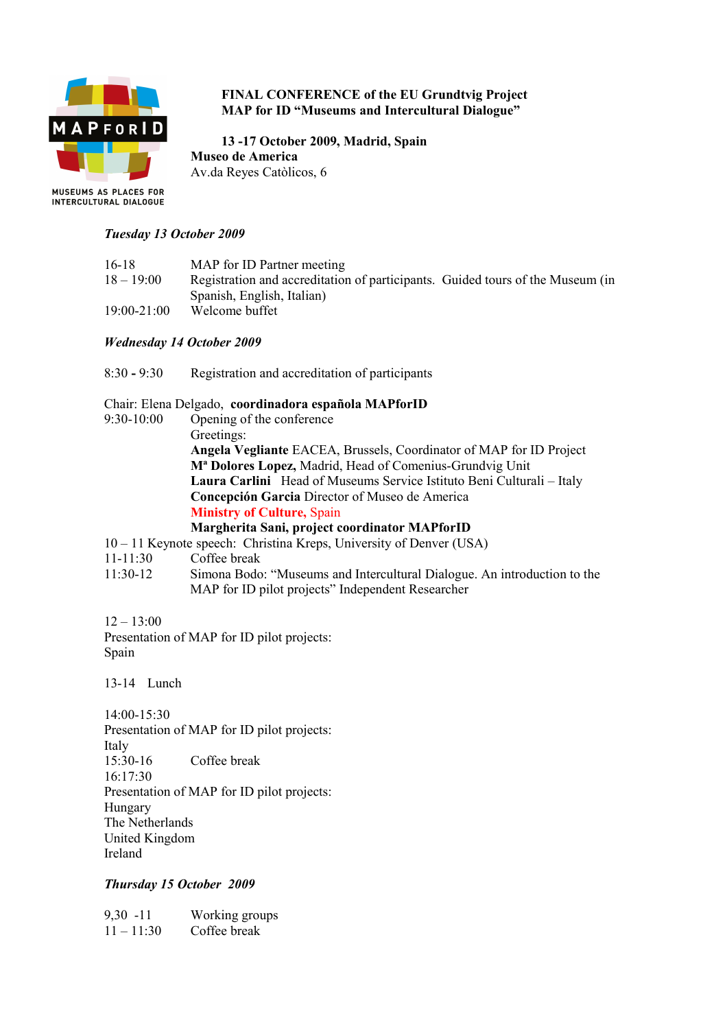

# **FINAL CONFERENCE of the EU Grundtvig Project MAP for ID "Museums and Intercultural Dialogue"**

**13 -17 October 2009, Madrid, Spain Museo de America** Av.da Reyes Catòlicos, 6

#### *Tuesday 13 October 2009*

| $16 - 18$       | MAP for ID Partner meeting                                                     |
|-----------------|--------------------------------------------------------------------------------|
| $18 - 19:00$    | Registration and accreditation of participants. Guided tours of the Museum (in |
|                 | Spanish, English, Italian)                                                     |
| $19:00 - 21:00$ | Welcome buffet                                                                 |

## *Wednesday 14 October 2009*

8:30 **-** 9:30 Registration and accreditation of participants

#### Chair: Elena Delgado, **coordinadora española MAPforID**

- 9:30-10:00 Opening of the conference Greetings: **Angela Vegliante** EACEA, Brussels, Coordinator of MAP for ID Project **Mª Dolores Lopez,** Madrid, Head of Comenius-Grundvig Unit **Laura Carlini** Head of Museums Service Istituto Beni Culturali – Italy **Concepción Garcia** Director of Museo de America **Ministry of Culture,** Spain **Margherita Sani, project coordinator MAPforID**
- 10 11 Keynote speech: Christina Kreps, University of Denver (USA)
- 11-11:30 Coffee break
- 11:30-12 Simona Bodo: "Museums and Intercultural Dialogue. An introduction to the MAP for ID pilot projects" Independent Researcher

 $12 - 13:00$ Presentation of MAP for ID pilot projects: Spain

13-14 Lunch

14:00-15:30 Presentation of MAP for ID pilot projects: Italy 15:30-16 Coffee break 16:17:30 Presentation of MAP for ID pilot projects: Hungary The Netherlands United Kingdom Ireland

#### *Thursday 15 October 2009*

9,30 -11 Working groups  $11 - 11:30$  Coffee break